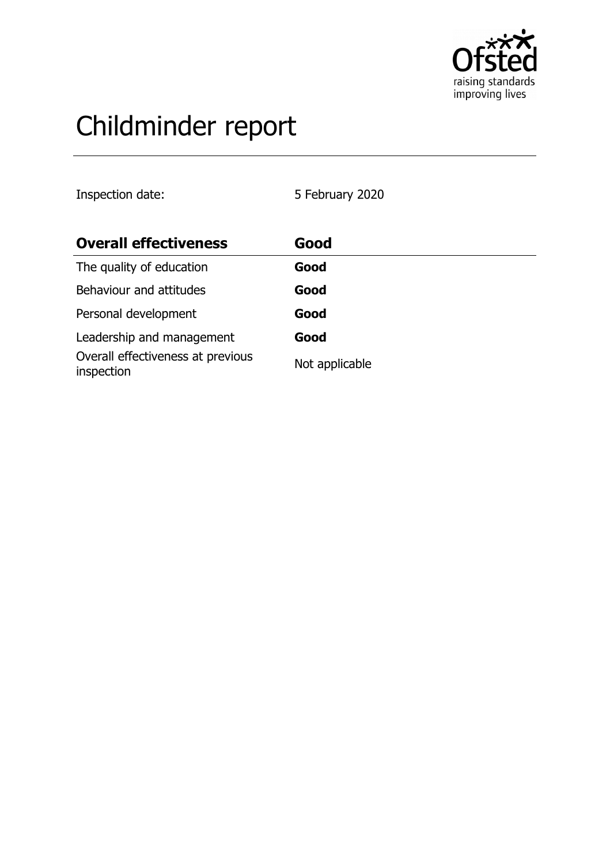

# Childminder report

Inspection date: 5 February 2020

| <b>Overall effectiveness</b>                    | Good           |
|-------------------------------------------------|----------------|
| The quality of education                        | Good           |
| Behaviour and attitudes                         | Good           |
| Personal development                            | Good           |
| Leadership and management                       | Good           |
| Overall effectiveness at previous<br>inspection | Not applicable |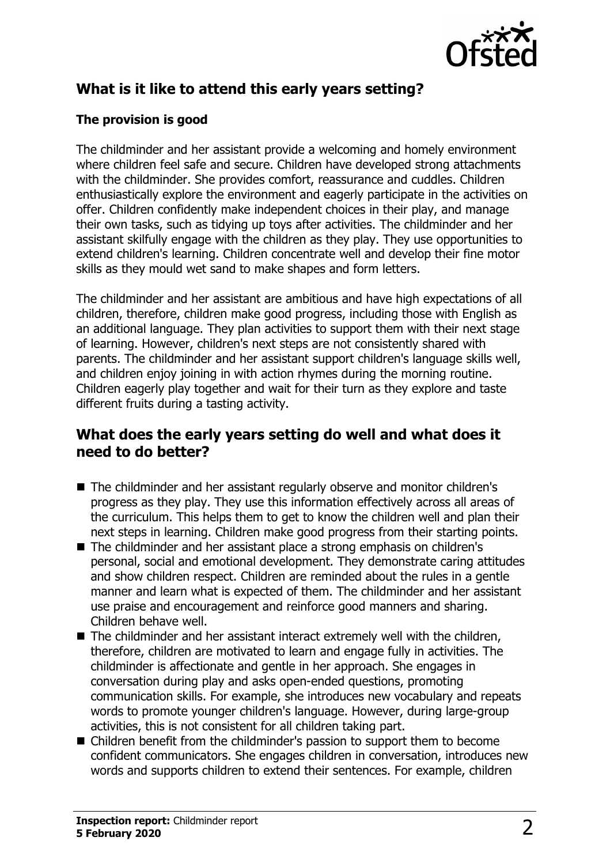

# **What is it like to attend this early years setting?**

#### **The provision is good**

The childminder and her assistant provide a welcoming and homely environment where children feel safe and secure. Children have developed strong attachments with the childminder. She provides comfort, reassurance and cuddles. Children enthusiastically explore the environment and eagerly participate in the activities on offer. Children confidently make independent choices in their play, and manage their own tasks, such as tidying up toys after activities. The childminder and her assistant skilfully engage with the children as they play. They use opportunities to extend children's learning. Children concentrate well and develop their fine motor skills as they mould wet sand to make shapes and form letters.

The childminder and her assistant are ambitious and have high expectations of all children, therefore, children make good progress, including those with English as an additional language. They plan activities to support them with their next stage of learning. However, children's next steps are not consistently shared with parents. The childminder and her assistant support children's language skills well, and children enjoy joining in with action rhymes during the morning routine. Children eagerly play together and wait for their turn as they explore and taste different fruits during a tasting activity.

#### **What does the early years setting do well and what does it need to do better?**

- The childminder and her assistant regularly observe and monitor children's progress as they play. They use this information effectively across all areas of the curriculum. This helps them to get to know the children well and plan their next steps in learning. Children make good progress from their starting points.
- The childminder and her assistant place a strong emphasis on children's personal, social and emotional development. They demonstrate caring attitudes and show children respect. Children are reminded about the rules in a gentle manner and learn what is expected of them. The childminder and her assistant use praise and encouragement and reinforce good manners and sharing. Children behave well.
- $\blacksquare$  The childminder and her assistant interact extremely well with the children, therefore, children are motivated to learn and engage fully in activities. The childminder is affectionate and gentle in her approach. She engages in conversation during play and asks open-ended questions, promoting communication skills. For example, she introduces new vocabulary and repeats words to promote younger children's language. However, during large-group activities, this is not consistent for all children taking part.
- Children benefit from the childminder's passion to support them to become confident communicators. She engages children in conversation, introduces new words and supports children to extend their sentences. For example, children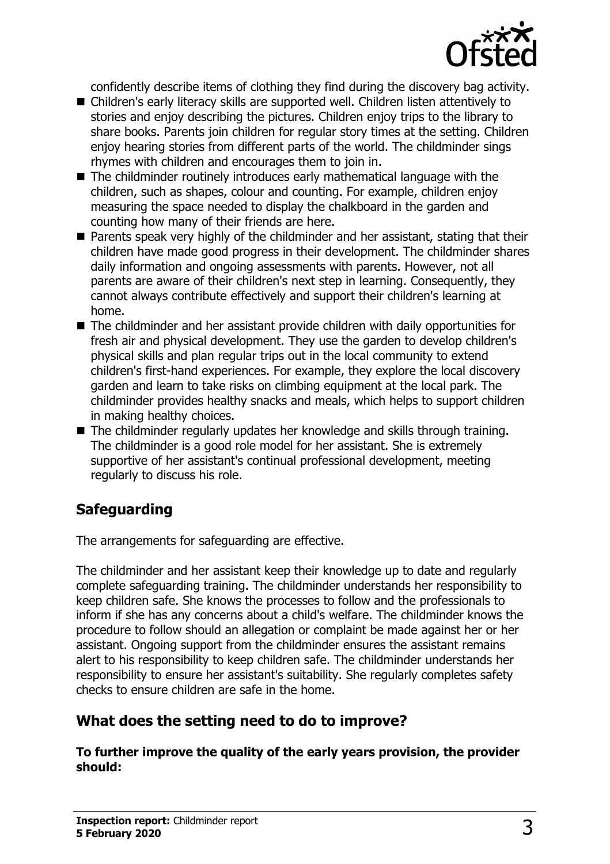

confidently describe items of clothing they find during the discovery bag activity.

- Children's early literacy skills are supported well. Children listen attentively to stories and enjoy describing the pictures. Children enjoy trips to the library to share books. Parents join children for regular story times at the setting. Children enjoy hearing stories from different parts of the world. The childminder sings rhymes with children and encourages them to join in.
- $\blacksquare$  The childminder routinely introduces early mathematical language with the children, such as shapes, colour and counting. For example, children enjoy measuring the space needed to display the chalkboard in the garden and counting how many of their friends are here.
- $\blacksquare$  Parents speak very highly of the childminder and her assistant, stating that their children have made good progress in their development. The childminder shares daily information and ongoing assessments with parents. However, not all parents are aware of their children's next step in learning. Consequently, they cannot always contribute effectively and support their children's learning at home.
- $\blacksquare$  The childminder and her assistant provide children with daily opportunities for fresh air and physical development. They use the garden to develop children's physical skills and plan regular trips out in the local community to extend children's first-hand experiences. For example, they explore the local discovery garden and learn to take risks on climbing equipment at the local park. The childminder provides healthy snacks and meals, which helps to support children in making healthy choices.
- $\blacksquare$  The childminder regularly updates her knowledge and skills through training. The childminder is a good role model for her assistant. She is extremely supportive of her assistant's continual professional development, meeting regularly to discuss his role.

# **Safeguarding**

The arrangements for safeguarding are effective.

The childminder and her assistant keep their knowledge up to date and regularly complete safeguarding training. The childminder understands her responsibility to keep children safe. She knows the processes to follow and the professionals to inform if she has any concerns about a child's welfare. The childminder knows the procedure to follow should an allegation or complaint be made against her or her assistant. Ongoing support from the childminder ensures the assistant remains alert to his responsibility to keep children safe. The childminder understands her responsibility to ensure her assistant's suitability. She regularly completes safety checks to ensure children are safe in the home.

## **What does the setting need to do to improve?**

**To further improve the quality of the early years provision, the provider should:**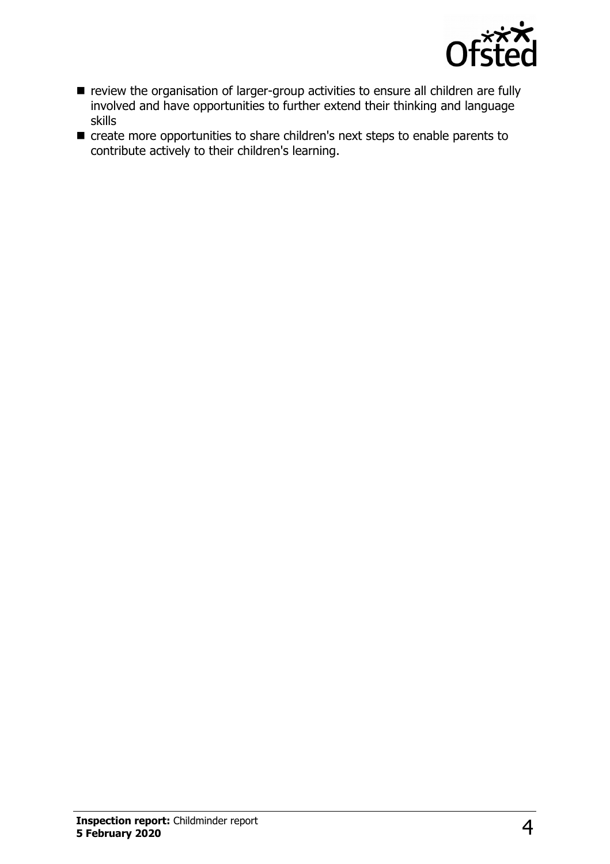

- review the organisation of larger-group activities to ensure all children are fully involved and have opportunities to further extend their thinking and language skills
- create more opportunities to share children's next steps to enable parents to contribute actively to their children's learning.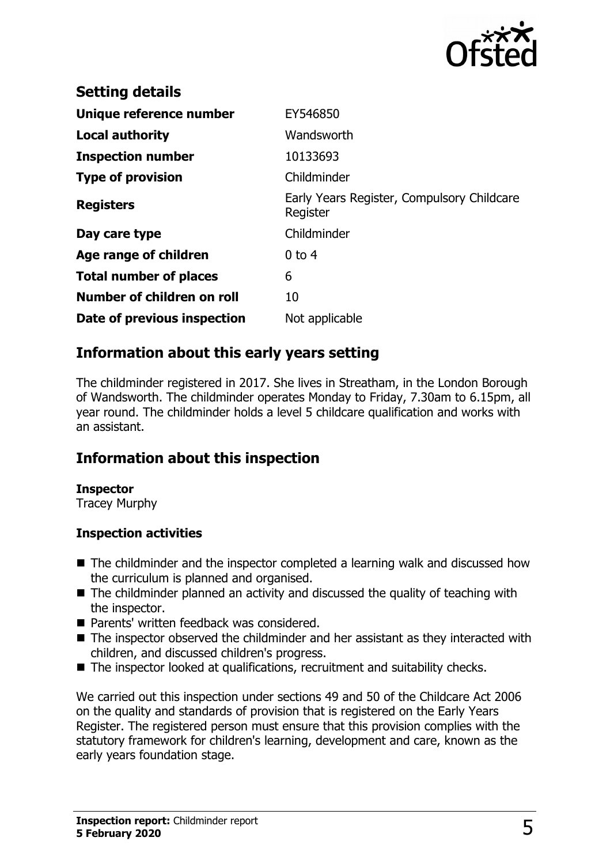

| <b>Setting details</b>        |                                                        |
|-------------------------------|--------------------------------------------------------|
| Unique reference number       | EY546850                                               |
| <b>Local authority</b>        | Wandsworth                                             |
| <b>Inspection number</b>      | 10133693                                               |
| <b>Type of provision</b>      | Childminder                                            |
| <b>Registers</b>              | Early Years Register, Compulsory Childcare<br>Register |
| Day care type                 | Childminder                                            |
| Age range of children         | $0$ to 4                                               |
| <b>Total number of places</b> | 6                                                      |
| Number of children on roll    | 10                                                     |
| Date of previous inspection   | Not applicable                                         |

#### **Information about this early years setting**

The childminder registered in 2017. She lives in Streatham, in the London Borough of Wandsworth. The childminder operates Monday to Friday, 7.30am to 6.15pm, all year round. The childminder holds a level 5 childcare qualification and works with an assistant.

## **Information about this inspection**

#### **Inspector**

Tracey Murphy

#### **Inspection activities**

- $\blacksquare$  The childminder and the inspector completed a learning walk and discussed how the curriculum is planned and organised.
- $\blacksquare$  The childminder planned an activity and discussed the quality of teaching with the inspector.
- Parents' written feedback was considered.
- $\blacksquare$  The inspector observed the childminder and her assistant as they interacted with children, and discussed children's progress.
- The inspector looked at qualifications, recruitment and suitability checks.

We carried out this inspection under sections 49 and 50 of the Childcare Act 2006 on the quality and standards of provision that is registered on the Early Years Register. The registered person must ensure that this provision complies with the statutory framework for children's learning, development and care, known as the early years foundation stage.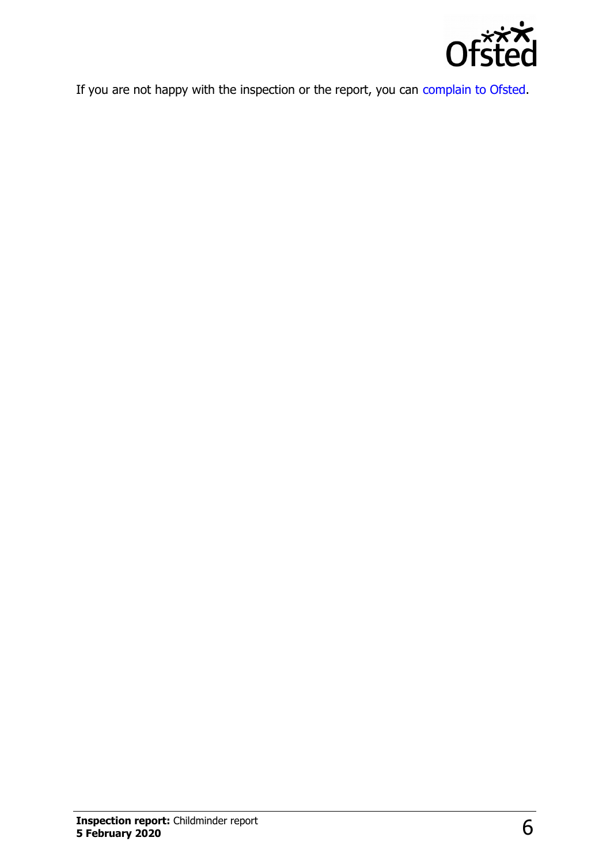

If you are not happy with the inspection or the report, you can [complain to Ofsted.](http://www.gov.uk/complain-ofsted-report)